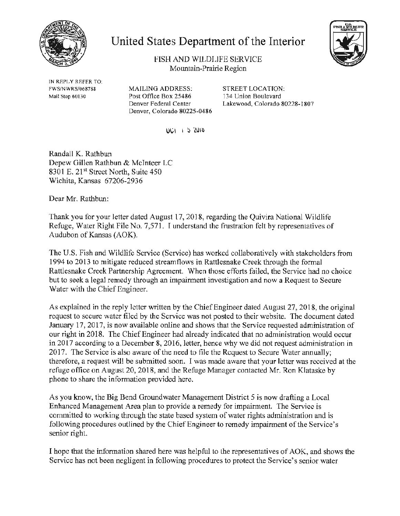

# United States Department of the Interior



FISH AND WILDLJFE SERVICE Mountain-Prairie Region

IN REPLY REFER TO: FWS/N WRS/068788 Mail Stop 60130

MAILING ADDRESS: STREET LOCATION: Post Office Box 25486 134 Union Boulevard Denver, Colorado 80225-0486

Denver Federal Center Lakewood, Colorado 80228-1807

U\:.1 I :J 'l\)10

Randall K. Rathbun Depew Gillen Rathbun & Mclnteer LC 8301 E. 21<sup>st</sup> Street North, Suite 450 Wichita, Kansas 67206-2936

Dear Mr. Rathbun:

Thank you tor your letter dated August 17, 2018, regarding the Quivira National Wildlife Refuge, Water Right File No. 7,571. I understand the frustration felt by representatives of Audubon of Kansas (AOK).

The U.S. Fish and Wildlife Service (Service) has worked collaboratively with stakeholders from 1994to 2013 to mitigate reduced streamflows in Rattlesnake Creek through the formal Rattlesnake Creek Partnership Agreement. When those efforts failed, the Service had no choice but to seek a legal remedy through an impairment investigation and now a Request to Secure Water with the Chief Engineer.

As explained in the reply letter written by the Chief Engineer dated August 27, 2018, the original request to secure water filed by the Service was not posted to their website. The document dated January 17, 2017, is now available online and shows that the Service requested administration of our right in 2018. The Chief Engineer had already indicated that no administration would occur in 2017 according to a December 8, 2016, letter, hence why we did not request administration in 2017. The Service is also aware of the need to file the Request to Secure Water annually; therefore, a request will be submitted soon. I was made aware that your letter was received at the refuge office on August 20,2018, and the Refuge Manager contacted Mr. Ron Klataske by phone to share the information provided here.

As you know, the Big Bend Groundwater Management District 5 is now drafting a Local Enhanced Management Area plan to provide a remedy for impairment. The Service is committed to working through the state based system of water rights administration and is following procedures outlined by the Chief Engineer to remedy impairment of the Service's senior right.

I hope that the information shared here was helpful to the representatives of AOK, and shows the Service has not been negligent in following procedures to protect the Service's senior water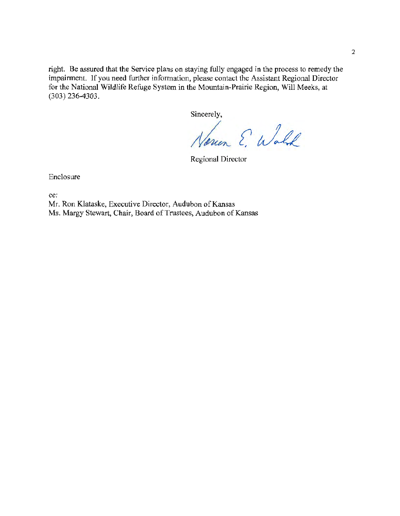right. Be assured that the Service plans on staying fully engaged in the process to remedy the impairment. If you need further information, please contact the Assistant Regional Director for the National Wildlife Refuge System in the Mountain-Prairie Region, Will Meeks, at (303) 236-4303.

Sincerely,

Noven E. Walk

Regional Director

Enclosure

cc:

Mr. Ron Klataske, Executive Director, Audubon of Kansas Ms. Margy Stewart, Chair, Board of Trustees, Audubon of Kansas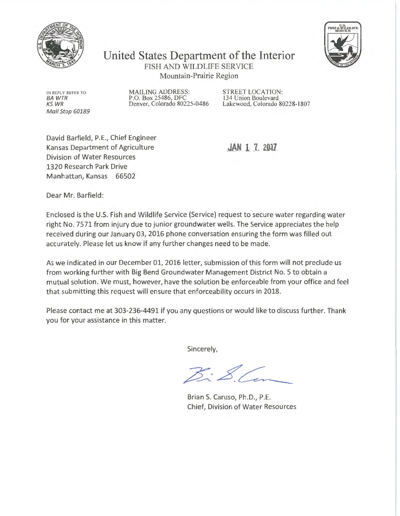



United States Department of the Interior FISH AND WILDLIFE SERVICE Mountain-Prairie Region

IN REPLY REFER TO BAWTR KSWR Mail Stop 60189 MAILING ADDRESS: STREET LOCATION:<br>
P.O. Box 25486, DFC 134 Union Boulevard<br>
Denver, Colorado 80225-0486 Lakewood, Colorado 80

Lakewood, Colorado 80228-1807

David Barfield, P.E., Chief Engineer Kansas Department of Agriculture Division of Water Resources 1320 Research Park Drive Manhattan, Kansas 66502

**JAN 1 7 2017** 

Dear Mr. Barfield:

Enclosed is the U.S. Fish and Wildlife Service (Service) request to secure water regarding water right No. 7571 from injury due to junior groundwater wells. The Service appreciates the help received during our January 03, 2016 phone conversation ensuring the form was filled out accurately. Please let us know if any further changes need to be made.

As we indicated in our December 01, 2016 letter, submission of this form will not preclude us from working further with Big Bend Groundwater Management District No. 5 to obtain a mutual solution. We must, however, have the solution be enforceable from your office and feel that submitting this request will ensure that enforceability occurs in 2018.

Please contact me at 303-236-4491 if you any questions or would like to discuss further. Thank you for your assistance in this matter.

Sincerely,

Brian S. Caruso, Ph.D., P.E. Chief, Division of Water Resources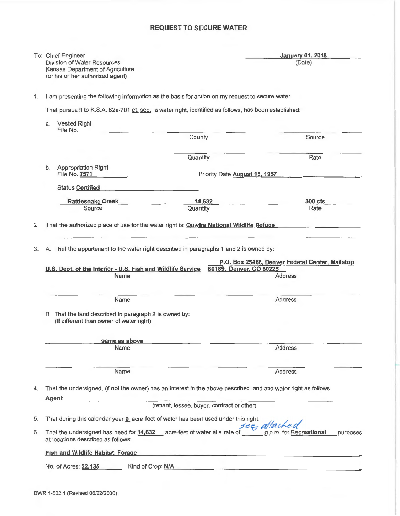### **REQUEST TO SECURE WATER**

|                                                                                                  | To: Chief Engineer<br>Division of Water Resources<br>Kansas Department of Agriculture                            |                                            | <b>January 01, 2018</b><br>(Date)                                                                  |
|--------------------------------------------------------------------------------------------------|------------------------------------------------------------------------------------------------------------------|--------------------------------------------|----------------------------------------------------------------------------------------------------|
|                                                                                                  | (or his or her authorized agent)                                                                                 |                                            |                                                                                                    |
| 1.                                                                                               | I am presenting the following information as the basis for action on my request to secure water:                 |                                            |                                                                                                    |
|                                                                                                  | That pursuant to K.S.A. 82a-701 et. seq., a water right, identified as follows, has been established:            |                                            |                                                                                                    |
| a.                                                                                               | <b>Vested Right</b>                                                                                              |                                            |                                                                                                    |
|                                                                                                  |                                                                                                                  | County                                     | Source                                                                                             |
|                                                                                                  |                                                                                                                  | Quantity                                   | Rate                                                                                               |
|                                                                                                  | <b>Appropriation Right</b><br>b.<br>File No. 7571                                                                |                                            | Priority Date August 15, 1957                                                                      |
|                                                                                                  | Status Certified                                                                                                 |                                            |                                                                                                    |
|                                                                                                  | <b>Rattlesnake Creek</b>                                                                                         | 14,632                                     | $300$ cfs                                                                                          |
|                                                                                                  | Source                                                                                                           | Quantity                                   | Rate                                                                                               |
| That the authorized place of use for the water right is: <b>Quivira National Wildlife Refuge</b> | A. That the appurtenant to the water right described in paragraphs 1 and 2 is owned by:                          |                                            | P.O. Box 25486, Denver Federal Center, Mailstop                                                    |
|                                                                                                  | U.S. Dept. of the Interior - U.S. Fish and Wildlife Service<br>Name                                              |                                            | 60189, Denver, CO 80225<br><b>Address</b>                                                          |
|                                                                                                  | Name<br>B. That the land described in paragraph 2 is owned by:<br>(If different than owner of water right)       |                                            | <b>Address</b>                                                                                     |
|                                                                                                  | same as above                                                                                                    |                                            |                                                                                                    |
|                                                                                                  | Name                                                                                                             |                                            | <b>Address</b>                                                                                     |
|                                                                                                  | Name                                                                                                             |                                            | Address                                                                                            |
|                                                                                                  | That the undersigned, (if not the owner) has an interest in the above-described land and water right as follows: |                                            |                                                                                                    |
|                                                                                                  | <b>Agent</b><br>the company of the company of the company of                                                     | (tenant, lessee, buyer, contract or other) |                                                                                                    |
|                                                                                                  | That during this calendar year 0 acre-feet of water has been used underthis right.                               |                                            |                                                                                                    |
|                                                                                                  | at locations described as follows:                                                                               |                                            | That the undersigned has need for 14,632 acre-feet of water at a rate of $\frac{see}{a}$ at facked |
| 2.<br>3.<br>4.<br>5.<br>6.                                                                       | <b>Fish and Wildlife Habitat, Forage</b>                                                                         |                                            | purposes                                                                                           |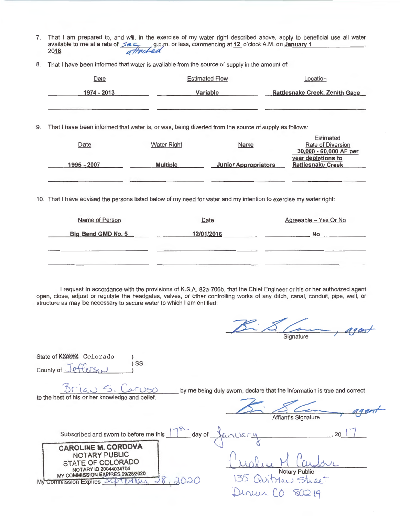- 7. That I am prepared to, and will, in the exercise of my water right described above, apply to beneficial use all water That I am prepared to, and will, in the exercise of my water right described above, apply to beneficial use all water<br>available to me at a rate of See 8.p,m. or less, commencing at <u>12</u> o'clock A.M. on January 1
- 8. That I have been informed that water is available from the source of supply in the amount of:

|    | Date                                                                                                               |                    | <b>Estimated Flow</b>       | Location                                                        |  |  |  |
|----|--------------------------------------------------------------------------------------------------------------------|--------------------|-----------------------------|-----------------------------------------------------------------|--|--|--|
|    | 1974 - 2013                                                                                                        |                    | Variable                    | <b>Rattlesnake Creek, Zenith Gage</b>                           |  |  |  |
|    |                                                                                                                    |                    |                             |                                                                 |  |  |  |
| 9. | That I have been informed that water is, or was, being diverted from the source of supply as follows:              |                    |                             |                                                                 |  |  |  |
|    | Date                                                                                                               | <b>Water Right</b> | Name                        | <b>Estimated</b><br>Rate of Diversion<br>30,000 - 60,000 AF per |  |  |  |
|    | 1995 - 2007                                                                                                        | <b>Multiple</b>    | <b>Junior Appropriators</b> | year depletions to<br><b>Rattlesnake Creek</b>                  |  |  |  |
|    | 10. That I have advised the persons listed below of my need for water and my intention to exercise my water right: |                    |                             |                                                                 |  |  |  |
|    | Name of Person                                                                                                     |                    | Date                        | Agreeable - Yes Or No                                           |  |  |  |
|    | Big Bend GMD No. 5                                                                                                 |                    | 12/01/2016                  | No                                                              |  |  |  |

I request in accordance with the provisions of K.S.A. 82a-706b, that the Chief Engineer or his or her authorized agent open, close, adjust or regulate the headgates, valves, or other controlling works of any ditch, canal, conduit, pipe, well, or structure as may be necessary to secure water to which I am entitled:

|                                                                                                                                                                                                                          | Signature                                                                                       |
|--------------------------------------------------------------------------------------------------------------------------------------------------------------------------------------------------------------------------|-------------------------------------------------------------------------------------------------|
| State of Kansas Colorado<br>SS<br>County of Jefferson                                                                                                                                                                    |                                                                                                 |
| Brian S. Caruso<br>to the best of his or her knowledge and belief.                                                                                                                                                       | by me being duly sworn, declare that the information is true and correct<br>Affiant's Signature |
| day of<br>Subscribed and sworn to before me this<br><b>CAROLINE M. CORDOVA</b><br>NOTARY PUBLIC<br>STATE OF COLORADO<br>NOTARY ID 20044034704<br>MY COMMISSION EXPIRES 09/28/2020<br>2020<br>Мy<br>Commission Expires 24 | 20<br>MTM<br>Notary Public<br>135<br>Man Stree<br>80219                                         |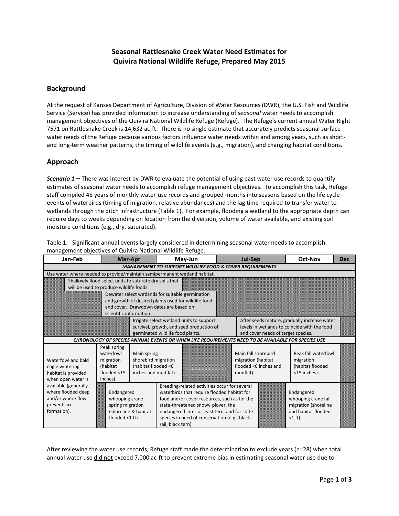## **Seasonal Rattlesnake Creek Water Need Estimates for Quivira National Wildlife Refuge, Prepared May 2015**

#### **Background**

At the request of Kansas Department of Agriculture, Division of Water Resources (DWR), the U.S. Fish and Wildlife Service (Service) has provided information to increase understanding of *seasonal* water needs to accomplish management objectives of the Quivira National Wildlife Refuge (Refuge). The Refuge's current annual Water Right 7571 on Rattlesnake Creek is 14,632 ac-ft. There is no single estimate that accurately predicts seasonal surface water needs of the Refuge because various factors influence water needs within and among years, such as shortand long-term weather patterns, the timing of wildlife events (e.g., migration), and changing habitat conditions.

### **Approach**

*Scenario 1* – There was interest by DWR to evaluate the potential of using past water use records to quantify estimates of seasonal water needs to accomplish refuge management objectives. To accomplish this task, Refuge staff compiled 48 years of monthly water-use records and grouped months into seasons based on the life cycle events of waterbirds (timing of migration, relative abundances) and the lag time required to transfer water to wetlands through the ditch infrastructure (Table 1). For example, flooding a wetland to the appropriate depth can require days to weeks depending on location from the diversion, volume of water available, and existing soil moisture conditions (e.g., dry, saturated).

| Jan-Feb                                                             | Mar-Apr                                                                   |                      | May-Jun                                                                                            |  | <b>Jul-Sep</b>                     | <b>Oct-Nov</b>                               | <b>Dec</b> |  |  |  |  |
|---------------------------------------------------------------------|---------------------------------------------------------------------------|----------------------|----------------------------------------------------------------------------------------------------|--|------------------------------------|----------------------------------------------|------------|--|--|--|--|
| <b>MANAGEMENT TO SUPPORT WILDLIFE FOOD &amp; COVER REQUIREMENTS</b> |                                                                           |                      |                                                                                                    |  |                                    |                                              |            |  |  |  |  |
|                                                                     | Use water where needed to provide/maintain semipermanent wetland habitat. |                      |                                                                                                    |  |                                    |                                              |            |  |  |  |  |
| Shallowly flood select units to saturate dry soils that             |                                                                           |                      |                                                                                                    |  |                                    |                                              |            |  |  |  |  |
| will be used to produce wildlife foods.                             |                                                                           |                      |                                                                                                    |  |                                    |                                              |            |  |  |  |  |
|                                                                     |                                                                           |                      | Dewater select wetlands for suitable germination                                                   |  |                                    |                                              |            |  |  |  |  |
|                                                                     |                                                                           |                      | and growth of desired plants used for wildlife food                                                |  |                                    |                                              |            |  |  |  |  |
|                                                                     |                                                                           |                      | and cover. Drawdown dates are based on                                                             |  |                                    |                                              |            |  |  |  |  |
|                                                                     | scientific information.                                                   |                      |                                                                                                    |  |                                    |                                              |            |  |  |  |  |
|                                                                     |                                                                           |                      | Irrigate select wetland units to support                                                           |  |                                    | After seeds mature, gradually increase water |            |  |  |  |  |
|                                                                     |                                                                           |                      | survival, growth, and seed production of<br>germinated wildlife food plants.                       |  | and cover needs of target species. | levels in wetlands to coincide with the food |            |  |  |  |  |
|                                                                     |                                                                           |                      | CHRONOLOGY OF SPECIES ANNUAL EVENTS OR WHEN LIFE REQUIREMENTS NEED TO BE AVAILABLE FOR SPECIES USE |  |                                    |                                              |            |  |  |  |  |
|                                                                     |                                                                           |                      |                                                                                                    |  |                                    |                                              |            |  |  |  |  |
|                                                                     | Peak spring<br>waterfowl                                                  | Main spring          |                                                                                                    |  | Main fall shorebird                | Peak fall waterfowl                          |            |  |  |  |  |
| Waterfowl and bald                                                  | migration                                                                 |                      | shorebird migration                                                                                |  | migration (habitat                 | migration                                    |            |  |  |  |  |
| eagle wintering                                                     | (habitat                                                                  | (habitat flooded <6  |                                                                                                    |  | flooded <6 inches and              | (habitat flooded                             |            |  |  |  |  |
| habitat is provided                                                 | flooded $<$ 15                                                            | inches and mudflat). |                                                                                                    |  | mudflat).                          | <15 inches).                                 |            |  |  |  |  |
| when open water is                                                  | inches).                                                                  |                      |                                                                                                    |  |                                    |                                              |            |  |  |  |  |
| available (generally                                                |                                                                           |                      | Breeding-related activities occur for several                                                      |  |                                    |                                              |            |  |  |  |  |
| where flooded deep                                                  | Endangered                                                                |                      | waterbirds that require flooded habitat for                                                        |  |                                    | Endangered                                   |            |  |  |  |  |
| and/or where flow                                                   | whooping crane                                                            |                      | food and/or cover resources, such as for the                                                       |  |                                    | whooping crane fall                          |            |  |  |  |  |
| prevents ice                                                        | spring migration                                                          |                      | state-threatened snowy plover, the                                                                 |  |                                    | migration (shoreline                         |            |  |  |  |  |
| formation).                                                         |                                                                           | (shoreline & habitat | endangered interior least tern, and for state                                                      |  |                                    | and habitat flooded                          |            |  |  |  |  |
|                                                                     | flooded $<$ 1 ft).                                                        |                      | species in need of conservation (e.g., black                                                       |  |                                    | $<$ 1 ft).                                   |            |  |  |  |  |
|                                                                     |                                                                           |                      | rail, black tern).                                                                                 |  |                                    |                                              |            |  |  |  |  |

Table 1. Significant annual events largely considered in determining seasonal water needs to accomplish management objectives of Quivira National Wildlife Refuge.

After reviewing the water use records, Refuge staff made the determination to exclude years (n=28) when total annual water use *did not exceed 7,000 ac-ft to prevent extreme bias in estimating seasonal water use due to*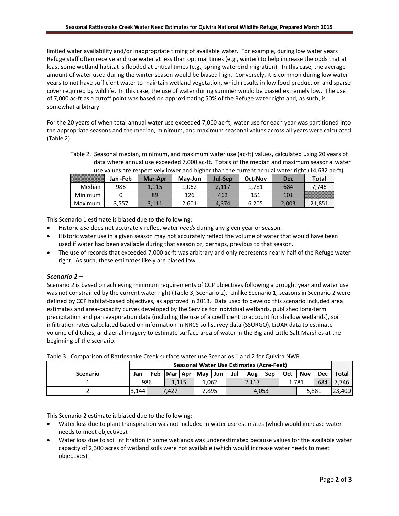limited water availability and/or inappropriate timing of available water. For example, during low water years Refuge staff often receive and use water at less than optimal times (e.g., winter) to help increase the odds that at least some wetland habitat is flooded at critical times (e.g., spring waterbird migration). In this case, the average amount of water used during the winter season would be biased high. Conversely, it is common during low water years to not have sufficient water to maintain wetland vegetation, which results in low food production and sparse cover required by wildlife. In this case, the use of water during summer would be biased extremely low. The use of 7,000 ac-ft as a cutoff point was based on approximating 50% of the Refuge water right and, as such, is somewhat arbitrary.

For the 20 years of when total annual water use exceeded 7,000 ac-ft, water use for each year was partitioned into the appropriate seasons and the median, minimum, and maximum seasonal values across all years were calculated (Table 2).

Table 2. Seasonal median, minimum, and maximum water use (ac-ft) values, calculated using 20 years of data where annual use exceeded 7,000 ac-ft. Totals of the median and maximum seasonal water use values are respectively lower and higher than the current annual water right (14,632 ac-ft).

|         | Jan -Feb | <b>Mar-Apr</b> | May-Jun | Jul-Sep | Oct-Nov | Dec   | Total  |
|---------|----------|----------------|---------|---------|---------|-------|--------|
| Median  | 986      | .115           | .062    | .117    | 1.781   | 684   | 746    |
| Minimum |          | 89             | 126     | 463     | 151     | 101   |        |
| Maximum | 3,557    | 3.111          | 2.601   | 4.374   | 6,205   | 2,003 | 21,851 |

This Scenario 1 estimate is biased due to the following:

- Historic *use* does not accurately reflect water *needs* during any given year or season.
- Historic water use in a given season may not accurately reflect the volume of water that would have been used if water had been available during that season or, perhaps, previous to that season.
- The use of records that exceeded 7,000 ac-ft was arbitrary and only represents nearly half of the Refuge water right. As such, these estimates likely are biased low.

#### *Scenario 2* **–**

Scenario 2 is based on achieving minimum requirements of CCP objectives following a drought year and water use was not constrained by the current water right (Table 3, Scenario 2). Unlike Scenario 1, seasons in Scenario 2 were defined by CCP habitat-based objectives, as approved in 2013. Data used to develop this scenario included area estimates and area-capacity curves developed by the Service for individual wetlands, published long-term precipitation and pan evaporation data (including the use of a coefficient to account for shallow wetlands), soil infiltration rates calculated based on information in NRCS soil survey data (SSURGO), LiDAR data to estimate volume of ditches, and aerial imagery to estimate surface area of water in the Big and Little Salt Marshes at the beginning of the scenario.

|                 | <b>Seasonal Water Use Estimates (Acre-Feet)</b> |              |       |  |                 |  |     |       |       |     |       |     |              |
|-----------------|-------------------------------------------------|--------------|-------|--|-----------------|--|-----|-------|-------|-----|-------|-----|--------------|
| <b>Scenario</b> | Jan                                             | Feb          |       |  | Mar Apr May Jun |  | Jul | Aug   | Sep   | Oct | Nov   | Dec | <b>Total</b> |
|                 |                                                 | 986<br>1.115 |       |  | 1.062<br>2,117  |  |     | 1.781 |       | 684 | 7.746 |     |              |
|                 | 3,144                                           |              | 7.427 |  | 2.895           |  |     |       | 4.053 |     | 5.881 |     | 23,400       |

Table 3. Comparison of Rattlesnake Creek surface water use Scenarios 1 and 2 for Quivira NWR.

This Scenario 2 estimate is biased due to the following:

- Water loss due to plant transpiration was not included in water use estimates (which would increase water needs to meet objectives).
- Water loss due to soil infiltration in some wetlands was underestimated because values for the available water capacity of 2,300 acres of wetland soils were not available (which would increase water needs to meet objectives).